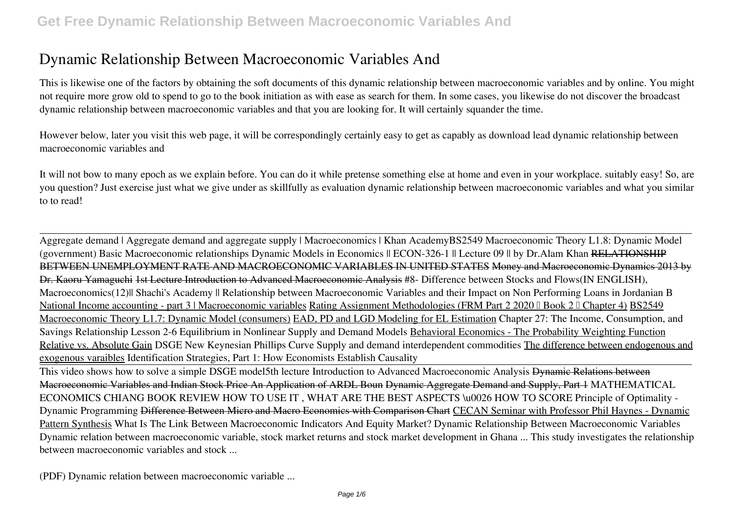This is likewise one of the factors by obtaining the soft documents of this **dynamic relationship between macroeconomic variables and** by online. You might not require more grow old to spend to go to the book initiation as with ease as search for them. In some cases, you likewise do not discover the broadcast dynamic relationship between macroeconomic variables and that you are looking for. It will certainly squander the time.

However below, later you visit this web page, it will be correspondingly certainly easy to get as capably as download lead dynamic relationship between macroeconomic variables and

It will not bow to many epoch as we explain before. You can do it while pretense something else at home and even in your workplace. suitably easy! So, are you question? Just exercise just what we give under as skillfully as evaluation **dynamic relationship between macroeconomic variables and** what you similar to to read!

Aggregate demand | Aggregate demand and aggregate supply | Macroeconomics | Khan Academy*BS2549 Macroeconomic Theory L1.8: Dynamic Model (government) Basic Macroeconomic relationships* Dynamic Models in Economics || ECON-326-1 || Lecture 09 || by Dr.Alam Khan RELATIONSHIP BETWEEN UNEMPLOYMENT RATE AND MACROECONOMIC VARIABLES IN UNITED STATES Money and Macroeconomic Dynamics 2013 by Dr. Kaoru Yamaguchi 1st Lecture Introduction to Advanced Macroeconomic Analysis *#8- Difference between Stocks and Flows(IN ENGLISH), Macroeconomics(12)|| Shachi's Academy ||* Relationship between Macroeconomic Variables and their Impact on Non Performing Loans in Jordanian B National Income accounting - part 3 | Macroeconomic variables Rating Assignment Methodologies (FRM Part 2 2020 | Book 2 | Chapter 4) BS2549 Macroeconomic Theory L1.7: Dynamic Model (consumers) EAD, PD and LGD Modeling for EL Estimation Chapter 27: The Income, Consumption, and Savings Relationship Lesson 2-6 Equilibrium in Nonlinear Supply and Demand Models Behavioral Economics - The Probability Weighting Function Relative vs. Absolute Gain DSGE New Keynesian Phillips Curve Supply and demand interdependent commodities The difference between endogenous and exogenous varaibles Identification Strategies, Part 1: How Economists Establish Causality

This video shows how to solve a simple DSGE model*5th lecture Introduction to Advanced Macroeconomic Analysis* Dynamic Relations between Macroeconomic Variables and Indian Stock Price An Application of ARDL Boun Dynamic Aggregate Demand and Supply, Part 1 *MATHEMATICAL ECONOMICS CHIANG BOOK REVIEW HOW TO USE IT , WHAT ARE THE BEST ASPECTS \u0026 HOW TO SCORE Principle of Optimality - Dynamic Programming* Difference Between Micro and Macro Economics with Comparison Chart CECAN Seminar with Professor Phil Haynes - Dynamic Pattern Synthesis **What Is The Link Between Macroeconomic Indicators And Equity Market? Dynamic Relationship Between Macroeconomic Variables** Dynamic relation between macroeconomic variable, stock market returns and stock market development in Ghana ... This study investigates the relationship between macroeconomic variables and stock ...

**(PDF) Dynamic relation between macroeconomic variable ...**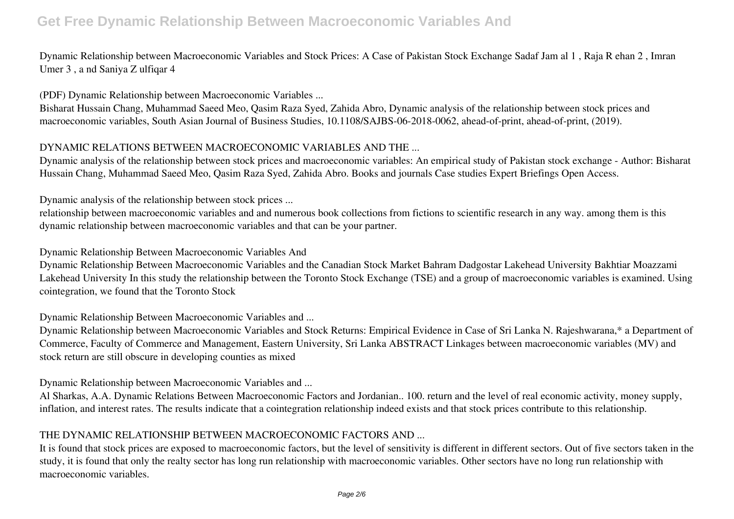Dynamic Relationship between Macroeconomic Variables and Stock Prices: A Case of Pakistan Stock Exchange Sadaf Jam al 1 , Raja R ehan 2 , Imran Umer 3 , a nd Saniya Z ulfiqar 4

**(PDF) Dynamic Relationship between Macroeconomic Variables ...**

Bisharat Hussain Chang, Muhammad Saeed Meo, Qasim Raza Syed, Zahida Abro, Dynamic analysis of the relationship between stock prices and macroeconomic variables, South Asian Journal of Business Studies, 10.1108/SAJBS-06-2018-0062, ahead-of-print, ahead-of-print, (2019).

#### **DYNAMIC RELATIONS BETWEEN MACROECONOMIC VARIABLES AND THE ...**

Dynamic analysis of the relationship between stock prices and macroeconomic variables: An empirical study of Pakistan stock exchange - Author: Bisharat Hussain Chang, Muhammad Saeed Meo, Qasim Raza Syed, Zahida Abro. Books and journals Case studies Expert Briefings Open Access.

**Dynamic analysis of the relationship between stock prices ...**

relationship between macroeconomic variables and and numerous book collections from fictions to scientific research in any way. among them is this dynamic relationship between macroeconomic variables and that can be your partner.

**Dynamic Relationship Between Macroeconomic Variables And**

Dynamic Relationship Between Macroeconomic Variables and the Canadian Stock Market Bahram Dadgostar Lakehead University Bakhtiar Moazzami Lakehead University In this study the relationship between the Toronto Stock Exchange (TSE) and a group of macroeconomic variables is examined. Using cointegration, we found that the Toronto Stock

**Dynamic Relationship Between Macroeconomic Variables and ...**

Dynamic Relationship between Macroeconomic Variables and Stock Returns: Empirical Evidence in Case of Sri Lanka N. Rajeshwarana,\* a Department of Commerce, Faculty of Commerce and Management, Eastern University, Sri Lanka ABSTRACT Linkages between macroeconomic variables (MV) and stock return are still obscure in developing counties as mixed

**Dynamic Relationship between Macroeconomic Variables and ...**

Al Sharkas, A.A. Dynamic Relations Between Macroeconomic Factors and Jordanian.. 100. return and the level of real economic activity, money supply, inflation, and interest rates. The results indicate that a cointegration relationship indeed exists and that stock prices contribute to this relationship.

#### **THE DYNAMIC RELATIONSHIP BETWEEN MACROECONOMIC FACTORS AND ...**

It is found that stock prices are exposed to macroeconomic factors, but the level of sensitivity is different in different sectors. Out of five sectors taken in the study, it is found that only the realty sector has long run relationship with macroeconomic variables. Other sectors have no long run relationship with macroeconomic variables.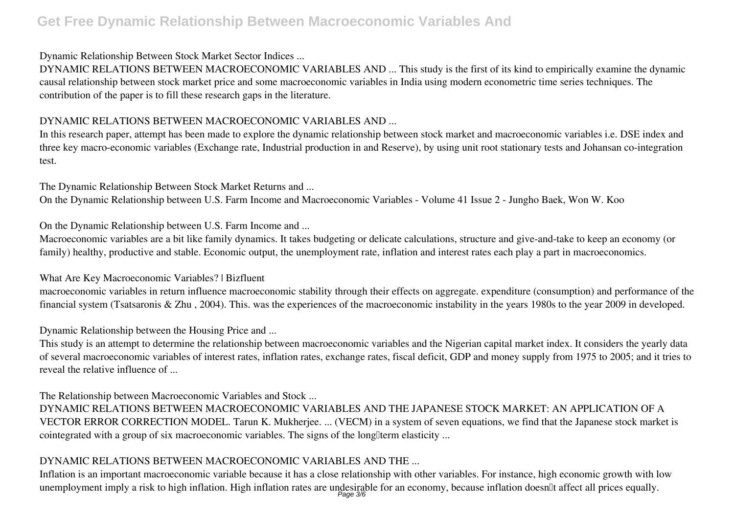#### **Dynamic Relationship Between Stock Market Sector Indices ...**

DYNAMIC RELATIONS BETWEEN MACROECONOMIC VARIABLES AND ... This study is the first of its kind to empirically examine the dynamic causal relationship between stock market price and some macroeconomic variables in India using modern econometric time series techniques. The contribution of the paper is to fill these research gaps in the literature.

#### **DYNAMIC RELATIONS BETWEEN MACROECONOMIC VARIABLES AND ...**

In this research paper, attempt has been made to explore the dynamic relationship between stock market and macroeconomic variables i.e. DSE index and three key macro-economic variables (Exchange rate, Industrial production in and Reserve), by using unit root stationary tests and Johansan co-integration test.

#### **The Dynamic Relationship Between Stock Market Returns and ...**

On the Dynamic Relationship between U.S. Farm Income and Macroeconomic Variables - Volume 41 Issue 2 - Jungho Baek, Won W. Koo

**On the Dynamic Relationship between U.S. Farm Income and ...**

Macroeconomic variables are a bit like family dynamics. It takes budgeting or delicate calculations, structure and give-and-take to keep an economy (or family) healthy, productive and stable. Economic output, the unemployment rate, inflation and interest rates each play a part in macroeconomics.

#### **What Are Key Macroeconomic Variables? | Bizfluent**

macroeconomic variables in return influence macroeconomic stability through their effects on aggregate. expenditure (consumption) and performance of the financial system (Tsatsaronis & Zhu , 2004). This. was the experiences of the macroeconomic instability in the years 1980s to the year 2009 in developed.

**Dynamic Relationship between the Housing Price and ...**

This study is an attempt to determine the relationship between macroeconomic variables and the Nigerian capital market index. It considers the yearly data of several macroeconomic variables of interest rates, inflation rates, exchange rates, fiscal deficit, GDP and money supply from 1975 to 2005; and it tries to reveal the relative influence of ...

#### **The Relationship between Macroeconomic Variables and Stock ...**

DYNAMIC RELATIONS BETWEEN MACROECONOMIC VARIABLES AND THE JAPANESE STOCK MARKET: AN APPLICATION OF A VECTOR ERROR CORRECTION MODEL. Tarun K. Mukherjee. ... (VECM) in a system of seven equations, we find that the Japanese stock market is cointegrated with a group of six macroeconomic variables. The signs of the long term elasticity ...

### **DYNAMIC RELATIONS BETWEEN MACROECONOMIC VARIABLES AND THE ...**

Inflation is an important macroeconomic variable because it has a close relationship with other variables. For instance, high economic growth with low unemployment imply a risk to high inflation. High inflation rates are undesirable for an economy, because inflation doesn∏t affect all prices equally.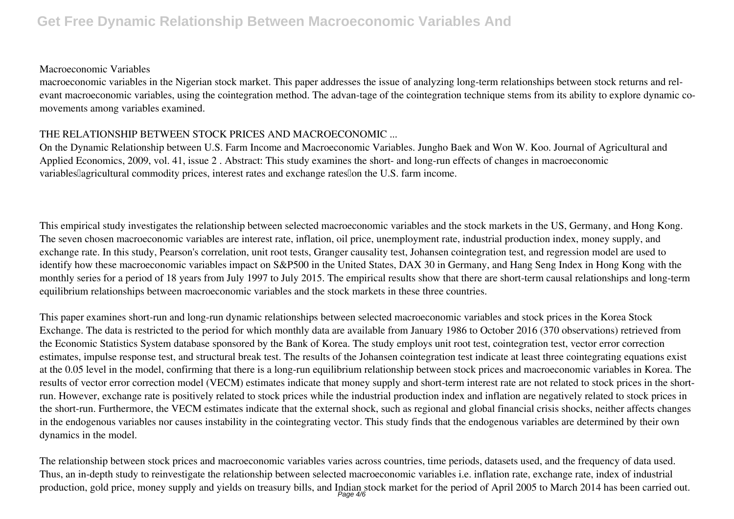#### **Macroeconomic Variables**

macroeconomic variables in the Nigerian stock market. This paper addresses the issue of analyzing long-term relationships between stock returns and relevant macroeconomic variables, using the cointegration method. The advan-tage of the cointegration technique stems from its ability to explore dynamic comovements among variables examined.

#### **THE RELATIONSHIP BETWEEN STOCK PRICES AND MACROECONOMIC ...**

On the Dynamic Relationship between U.S. Farm Income and Macroeconomic Variables. Jungho Baek and Won W. Koo. Journal of Agricultural and Applied Economics, 2009, vol. 41, issue 2 . Abstract: This study examines the short- and long-run effects of changes in macroeconomic variables agricultural commodity prices, interest rates and exchange rates on the U.S. farm income.

This empirical study investigates the relationship between selected macroeconomic variables and the stock markets in the US, Germany, and Hong Kong. The seven chosen macroeconomic variables are interest rate, inflation, oil price, unemployment rate, industrial production index, money supply, and exchange rate. In this study, Pearson's correlation, unit root tests, Granger causality test, Johansen cointegration test, and regression model are used to identify how these macroeconomic variables impact on S&P500 in the United States, DAX 30 in Germany, and Hang Seng Index in Hong Kong with the monthly series for a period of 18 years from July 1997 to July 2015. The empirical results show that there are short-term causal relationships and long-term equilibrium relationships between macroeconomic variables and the stock markets in these three countries.

This paper examines short-run and long-run dynamic relationships between selected macroeconomic variables and stock prices in the Korea Stock Exchange. The data is restricted to the period for which monthly data are available from January 1986 to October 2016 (370 observations) retrieved from the Economic Statistics System database sponsored by the Bank of Korea. The study employs unit root test, cointegration test, vector error correction estimates, impulse response test, and structural break test. The results of the Johansen cointegration test indicate at least three cointegrating equations exist at the 0.05 level in the model, confirming that there is a long-run equilibrium relationship between stock prices and macroeconomic variables in Korea. The results of vector error correction model (VECM) estimates indicate that money supply and short-term interest rate are not related to stock prices in the shortrun. However, exchange rate is positively related to stock prices while the industrial production index and inflation are negatively related to stock prices in the short-run. Furthermore, the VECM estimates indicate that the external shock, such as regional and global financial crisis shocks, neither affects changes in the endogenous variables nor causes instability in the cointegrating vector. This study finds that the endogenous variables are determined by their own dynamics in the model.

The relationship between stock prices and macroeconomic variables varies across countries, time periods, datasets used, and the frequency of data used. Thus, an in-depth study to reinvestigate the relationship between selected macroeconomic variables i.e. inflation rate, exchange rate, index of industrial production, gold price, money supply and yields on treasury bills, and Indian stock market for the period of April 2005 to March 2014 has been carried out.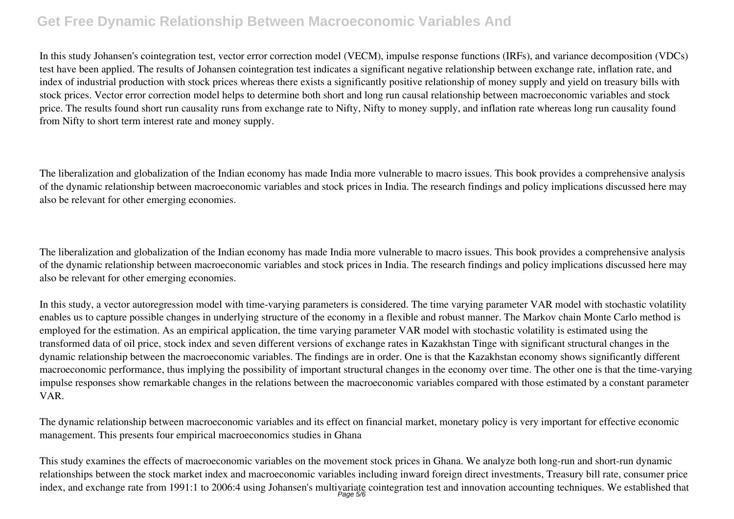In this study Johansen's cointegration test, vector error correction model (VECM), impulse response functions (IRFs), and variance decomposition (VDCs) test have been applied. The results of Johansen cointegration test indicates a significant negative relationship between exchange rate, inflation rate, and index of industrial production with stock prices whereas there exists a significantly positive relationship of money supply and yield on treasury bills with stock prices. Vector error correction model helps to determine both short and long run causal relationship between macroeconomic variables and stock price. The results found short run causality runs from exchange rate to Nifty, Nifty to money supply, and inflation rate whereas long run causality found from Nifty to short term interest rate and money supply.

The liberalization and globalization of the Indian economy has made India more vulnerable to macro issues. This book provides a comprehensive analysis of the dynamic relationship between macroeconomic variables and stock prices in India. The research findings and policy implications discussed here may also be relevant for other emerging economies.

The liberalization and globalization of the Indian economy has made India more vulnerable to macro issues. This book provides a comprehensive analysis of the dynamic relationship between macroeconomic variables and stock prices in India. The research findings and policy implications discussed here may also be relevant for other emerging economies.

In this study, a vector autoregression model with time-varying parameters is considered. The time varying parameter VAR model with stochastic volatility enables us to capture possible changes in underlying structure of the economy in a flexible and robust manner. The Markov chain Monte Carlo method is employed for the estimation. As an empirical application, the time varying parameter VAR model with stochastic volatility is estimated using the transformed data of oil price, stock index and seven different versions of exchange rates in Kazakhstan Tinge with significant structural changes in the dynamic relationship between the macroeconomic variables. The findings are in order. One is that the Kazakhstan economy shows significantly different macroeconomic performance, thus implying the possibility of important structural changes in the economy over time. The other one is that the time-varying impulse responses show remarkable changes in the relations between the macroeconomic variables compared with those estimated by a constant parameter VAR.

The dynamic relationship between macroeconomic variables and its effect on financial market, monetary policy is very important for effective economic management. This presents four empirical macroeconomics studies in Ghana

This study examines the effects of macroeconomic variables on the movement stock prices in Ghana. We analyze both long-run and short-run dynamic relationships between the stock market index and macroeconomic variables including inward foreign direct investments, Treasury bill rate, consumer price index, and exchange rate from 1991:1 to 2006:4 using Johansen's multivariate cointegration test and innovation accounting techniques. We established that Page 5/6